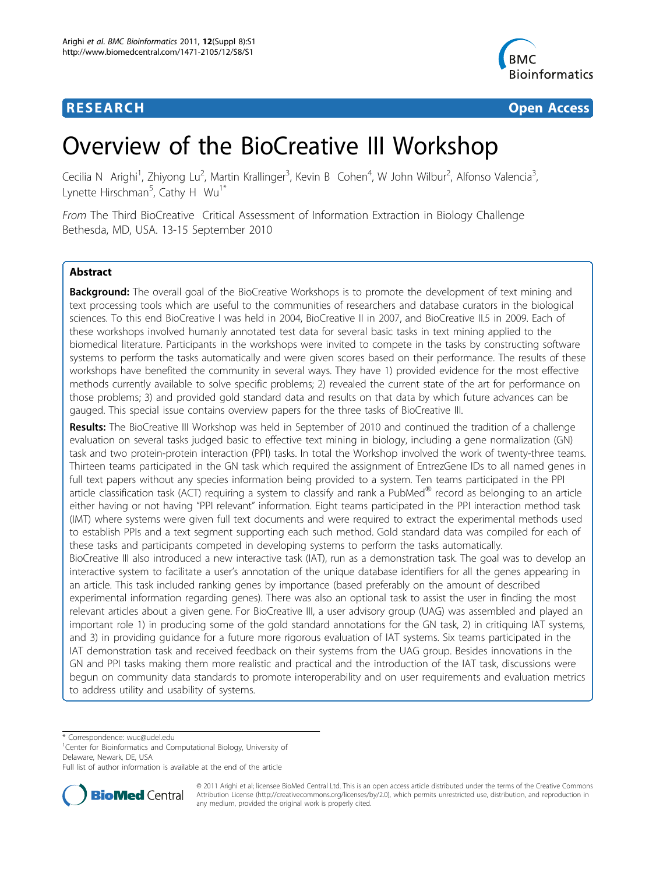

**RESEARCH CONSTRUCTION CONSTRUCTS** 

# Overview of the BioCreative III Workshop

Cecilia N Arighi<sup>1</sup>, Zhiyong Lu<sup>2</sup>, Martin Krallinger<sup>3</sup>, Kevin B Cohen<sup>4</sup>, W John Wilbur<sup>2</sup>, Alfonso Valencia<sup>3</sup> , Lynette Hirschman<sup>5</sup>, Cathy H Wu<sup>1\*</sup>

From The Third BioCreative Critical Assessment of Information Extraction in Biology Challenge Bethesda, MD, USA. 13-15 September 2010

# Abstract

Background: The overall goal of the BioCreative Workshops is to promote the development of text mining and text processing tools which are useful to the communities of researchers and database curators in the biological sciences. To this end BioCreative I was held in 2004, BioCreative II in 2007, and BioCreative II.5 in 2009. Each of these workshops involved humanly annotated test data for several basic tasks in text mining applied to the biomedical literature. Participants in the workshops were invited to compete in the tasks by constructing software systems to perform the tasks automatically and were given scores based on their performance. The results of these workshops have benefited the community in several ways. They have 1) provided evidence for the most effective methods currently available to solve specific problems; 2) revealed the current state of the art for performance on those problems; 3) and provided gold standard data and results on that data by which future advances can be gauged. This special issue contains overview papers for the three tasks of BioCreative III.

Results: The BioCreative III Workshop was held in September of 2010 and continued the tradition of a challenge evaluation on several tasks judged basic to effective text mining in biology, including a gene normalization (GN) task and two protein-protein interaction (PPI) tasks. In total the Workshop involved the work of twenty-three teams. Thirteen teams participated in the GN task which required the assignment of EntrezGene IDs to all named genes in full text papers without any species information being provided to a system. Ten teams participated in the PPI article classification task (ACT) requiring a system to classify and rank a PubMed<sup>®</sup> record as belonging to an article either having or not having "PPI relevant" information. Eight teams participated in the PPI interaction method task (IMT) where systems were given full text documents and were required to extract the experimental methods used to establish PPIs and a text segment supporting each such method. Gold standard data was compiled for each of these tasks and participants competed in developing systems to perform the tasks automatically. BioCreative III also introduced a new interactive task (IAT), run as a demonstration task. The goal was to develop an interactive system to facilitate a user's annotation of the unique database identifiers for all the genes appearing in an article. This task included ranking genes by importance (based preferably on the amount of described experimental information regarding genes). There was also an optional task to assist the user in finding the most relevant articles about a given gene. For BioCreative III, a user advisory group (UAG) was assembled and played an important role 1) in producing some of the gold standard annotations for the GN task, 2) in critiquing IAT systems, and 3) in providing guidance for a future more rigorous evaluation of IAT systems. Six teams participated in the IAT demonstration task and received feedback on their systems from the UAG group. Besides innovations in the GN and PPI tasks making them more realistic and practical and the introduction of the IAT task, discussions were begun on community data standards to promote interoperability and on user requirements and evaluation metrics to address utility and usability of systems.

\* Correspondence: [wuc@udel.edu](mailto:wuc@udel.edu)

<sup>1</sup>Center for Bioinformatics and Computational Biology, University of Delaware, Newark, DE, USA

Full list of author information is available at the end of the article



© 2011 Arighi et al; licensee BioMed Central Ltd. This is an open access article distributed under the terms of the Creative Commons Attribution License [\(http://creativecommons.org/licenses/by/2.0](http://creativecommons.org/licenses/by/2.0)), which permits unrestricted use, distribution, and reproduction in any medium, provided the original work is properly cited.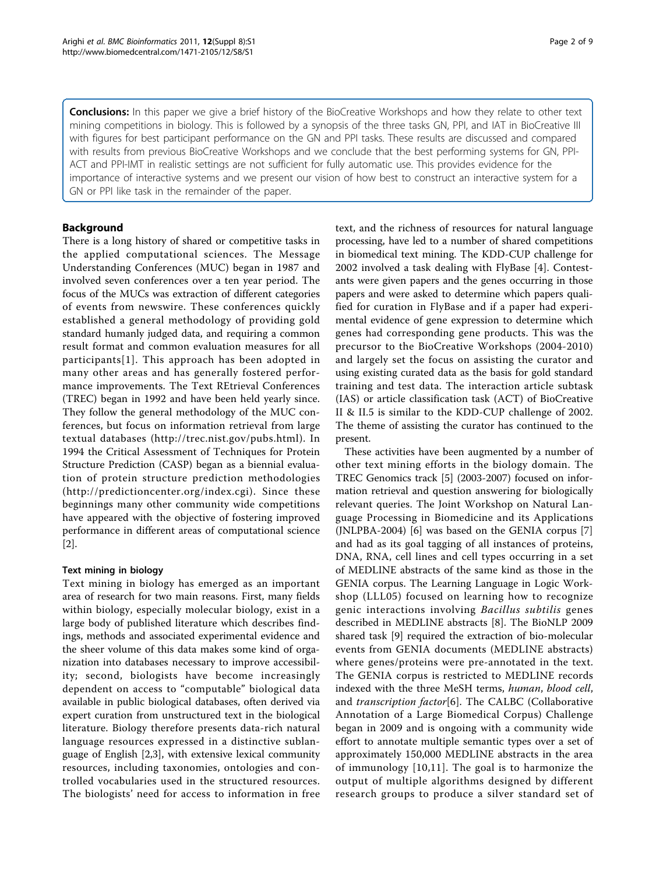Conclusions: In this paper we give a brief history of the BioCreative Workshops and how they relate to other text mining competitions in biology. This is followed by a synopsis of the three tasks GN, PPI, and IAT in BioCreative III with figures for best participant performance on the GN and PPI tasks. These results are discussed and compared with results from previous BioCreative Workshops and we conclude that the best performing systems for GN, PPI-ACT and PPI-IMT in realistic settings are not sufficient for fully automatic use. This provides evidence for the importance of interactive systems and we present our vision of how best to construct an interactive system for a GN or PPI like task in the remainder of the paper.

# **Background**

There is a long history of shared or competitive tasks in the applied computational sciences. The Message Understanding Conferences (MUC) began in 1987 and involved seven conferences over a ten year period. The focus of the MUCs was extraction of different categories of events from newswire. These conferences quickly established a general methodology of providing gold standard humanly judged data, and requiring a common result format and common evaluation measures for all participants[[1](#page-7-0)]. This approach has been adopted in many other areas and has generally fostered performance improvements. The Text REtrieval Conferences (TREC) began in 1992 and have been held yearly since. They follow the general methodology of the MUC conferences, but focus on information retrieval from large textual databases ([http://trec.nist.gov/pubs.html\)](http://trec.nist.gov/pubs.html). In 1994 the Critical Assessment of Techniques for Protein Structure Prediction (CASP) began as a biennial evaluation of protein structure prediction methodologies (<http://predictioncenter.org/index.cgi>). Since these beginnings many other community wide competitions have appeared with the objective of fostering improved performance in different areas of computational science [[2\]](#page-7-0).

# Text mining in biology

Text mining in biology has emerged as an important area of research for two main reasons. First, many fields within biology, especially molecular biology, exist in a large body of published literature which describes findings, methods and associated experimental evidence and the sheer volume of this data makes some kind of organization into databases necessary to improve accessibility; second, biologists have become increasingly dependent on access to "computable" biological data available in public biological databases, often derived via expert curation from unstructured text in the biological literature. Biology therefore presents data-rich natural language resources expressed in a distinctive sublanguage of English [[2](#page-7-0),[3\]](#page-7-0), with extensive lexical community resources, including taxonomies, ontologies and controlled vocabularies used in the structured resources. The biologists' need for access to information in free

text, and the richness of resources for natural language processing, have led to a number of shared competitions in biomedical text mining. The KDD-CUP challenge for 2002 involved a task dealing with FlyBase [\[4](#page-7-0)]. Contestants were given papers and the genes occurring in those papers and were asked to determine which papers qualified for curation in FlyBase and if a paper had experimental evidence of gene expression to determine which genes had corresponding gene products. This was the precursor to the BioCreative Workshops (2004-2010) and largely set the focus on assisting the curator and using existing curated data as the basis for gold standard training and test data. The interaction article subtask (IAS) or article classification task (ACT) of BioCreative II & II.5 is similar to the KDD-CUP challenge of 2002. The theme of assisting the curator has continued to the present.

These activities have been augmented by a number of other text mining efforts in the biology domain. The TREC Genomics track [[5\]](#page-7-0) (2003-2007) focused on information retrieval and question answering for biologically relevant queries. The Joint Workshop on Natural Language Processing in Biomedicine and its Applications (JNLPBA-2004) [[6\]](#page-7-0) was based on the GENIA corpus [\[7](#page-7-0)] and had as its goal tagging of all instances of proteins, DNA, RNA, cell lines and cell types occurring in a set of MEDLINE abstracts of the same kind as those in the GENIA corpus. The Learning Language in Logic Workshop (LLL05) focused on learning how to recognize genic interactions involving Bacillus subtilis genes described in MEDLINE abstracts [\[8](#page-7-0)]. The BioNLP 2009 shared task [\[9](#page-7-0)] required the extraction of bio-molecular events from GENIA documents (MEDLINE abstracts) where genes/proteins were pre-annotated in the text. The GENIA corpus is restricted to MEDLINE records indexed with the three MeSH terms, human, blood cell, and transcription factor[[6](#page-7-0)]. The CALBC (Collaborative Annotation of a Large Biomedical Corpus) Challenge began in 2009 and is ongoing with a community wide effort to annotate multiple semantic types over a set of approximately 150,000 MEDLINE abstracts in the area of immunology [[10](#page-7-0),[11](#page-7-0)]. The goal is to harmonize the output of multiple algorithms designed by different research groups to produce a silver standard set of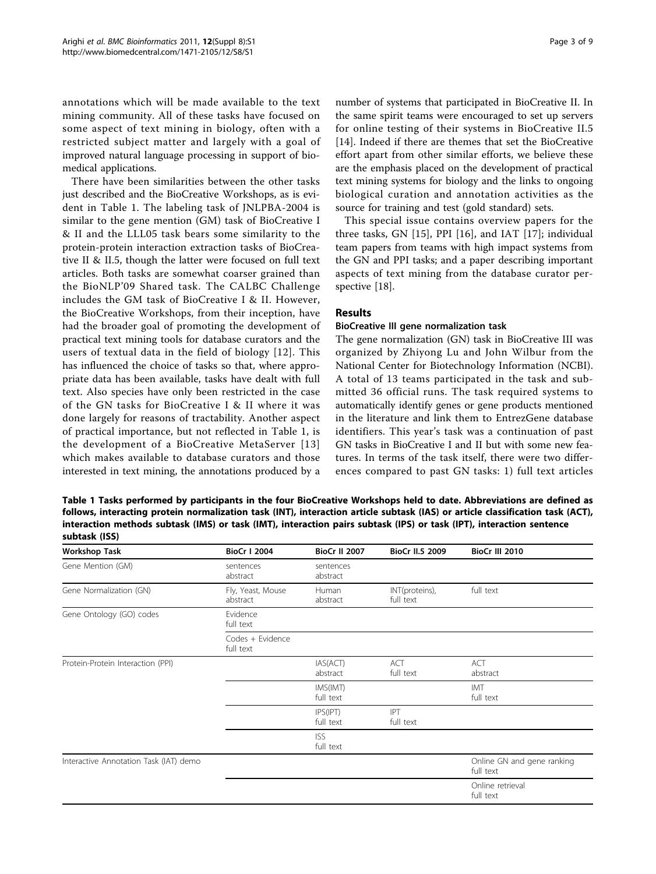annotations which will be made available to the text mining community. All of these tasks have focused on some aspect of text mining in biology, often with a restricted subject matter and largely with a goal of improved natural language processing in support of biomedical applications.

There have been similarities between the other tasks just described and the BioCreative Workshops, as is evident in Table 1. The labeling task of JNLPBA-2004 is similar to the gene mention (GM) task of BioCreative I & II and the LLL05 task bears some similarity to the protein-protein interaction extraction tasks of BioCreative II & II.5, though the latter were focused on full text articles. Both tasks are somewhat coarser grained than the BioNLP'09 Shared task. The CALBC Challenge includes the GM task of BioCreative I & II. However, the BioCreative Workshops, from their inception, have had the broader goal of promoting the development of practical text mining tools for database curators and the users of textual data in the field of biology [[12](#page-7-0)]. This has influenced the choice of tasks so that, where appropriate data has been available, tasks have dealt with full text. Also species have only been restricted in the case of the GN tasks for BioCreative I & II where it was done largely for reasons of tractability. Another aspect of practical importance, but not reflected in Table 1, is the development of a BioCreative MetaServer [[13](#page-7-0)] which makes available to database curators and those interested in text mining, the annotations produced by a number of systems that participated in BioCreative II. In the same spirit teams were encouraged to set up servers for online testing of their systems in BioCreative II.5 [[14\]](#page-7-0). Indeed if there are themes that set the BioCreative effort apart from other similar efforts, we believe these are the emphasis placed on the development of practical text mining systems for biology and the links to ongoing biological curation and annotation activities as the source for training and test (gold standard) sets.

This special issue contains overview papers for the three tasks, GN [\[15](#page-7-0)], PPI [\[16](#page-7-0)], and IAT [[17\]](#page-7-0); individual team papers from teams with high impact systems from the GN and PPI tasks; and a paper describing important aspects of text mining from the database curator perspective [\[18](#page-7-0)].

# Results

#### BioCreative III gene normalization task

The gene normalization (GN) task in BioCreative III was organized by Zhiyong Lu and John Wilbur from the National Center for Biotechnology Information (NCBI). A total of 13 teams participated in the task and submitted 36 official runs. The task required systems to automatically identify genes or gene products mentioned in the literature and link them to EntrezGene database identifiers. This year's task was a continuation of past GN tasks in BioCreative I and II but with some new features. In terms of the task itself, there were two differences compared to past GN tasks: 1) full text articles

Table 1 Tasks performed by participants in the four BioCreative Workshops held to date. Abbreviations are defined as follows, interacting protein normalization task (INT), interaction article subtask (IAS) or article classification task (ACT), interaction methods subtask (IMS) or task (IMT), interaction pairs subtask (IPS) or task (IPT), interaction sentence subtask (ISS)

| <b>Workshop Task</b>                   | <b>BioCr I 2004</b>           | <b>BioCr II 2007</b>    | <b>BioCr II.5 2009</b>      | BioCr III 2010                          |
|----------------------------------------|-------------------------------|-------------------------|-----------------------------|-----------------------------------------|
| Gene Mention (GM)                      | sentences<br>abstract         | sentences<br>abstract   |                             |                                         |
| Gene Normalization (GN)                | Fly, Yeast, Mouse<br>abstract | Human<br>abstract       | INT(proteins),<br>full text | full text                               |
| Gene Ontology (GO) codes               | Evidence<br>full text         |                         |                             |                                         |
|                                        | Codes + Evidence<br>full text |                         |                             |                                         |
| Protein-Protein Interaction (PPI)      |                               | IAS(ACT)<br>abstract    | ACT<br>full text            | ACT<br>abstract                         |
|                                        |                               | IMS(IMT)<br>full text   |                             | IMT<br>full text                        |
|                                        |                               | IPS(IPT)<br>full text   | IPT<br>full text            |                                         |
|                                        |                               | <b>ISS</b><br>full text |                             |                                         |
| Interactive Annotation Task (IAT) demo |                               |                         |                             | Online GN and gene ranking<br>full text |
|                                        |                               |                         |                             | Online retrieval<br>full text           |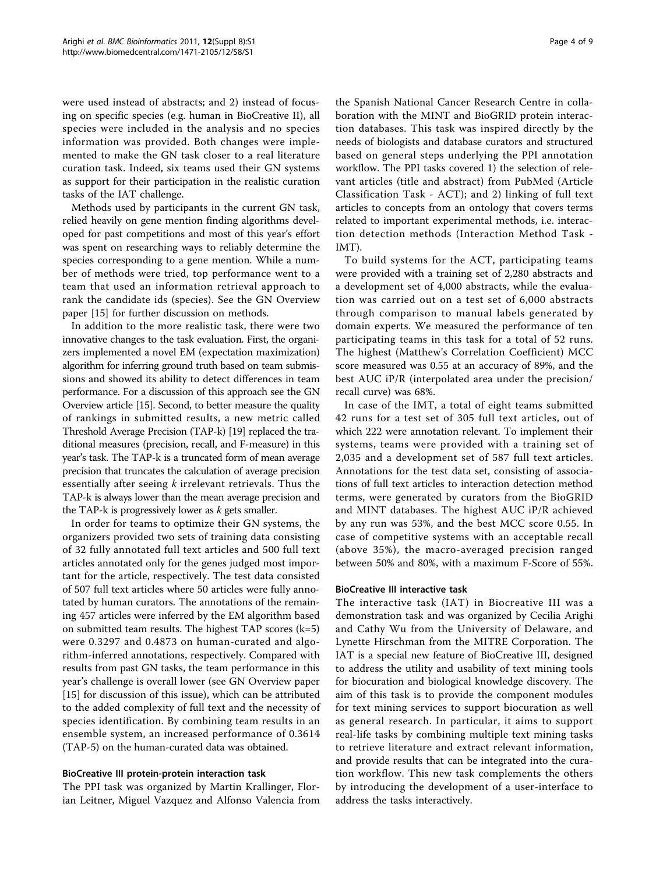were used instead of abstracts; and 2) instead of focusing on specific species (e.g. human in BioCreative II), all species were included in the analysis and no species information was provided. Both changes were implemented to make the GN task closer to a real literature curation task. Indeed, six teams used their GN systems as support for their participation in the realistic curation tasks of the IAT challenge.

Methods used by participants in the current GN task, relied heavily on gene mention finding algorithms developed for past competitions and most of this year's effort was spent on researching ways to reliably determine the species corresponding to a gene mention. While a number of methods were tried, top performance went to a team that used an information retrieval approach to rank the candidate ids (species). See the GN Overview paper [[15\]](#page-7-0) for further discussion on methods.

In addition to the more realistic task, there were two innovative changes to the task evaluation. First, the organizers implemented a novel EM (expectation maximization) algorithm for inferring ground truth based on team submissions and showed its ability to detect differences in team performance. For a discussion of this approach see the GN Overview article [\[15\]](#page-7-0). Second, to better measure the quality of rankings in submitted results, a new metric called Threshold Average Precision (TAP-k) [[19](#page-7-0)] replaced the traditional measures (precision, recall, and F-measure) in this year's task. The TAP-k is a truncated form of mean average precision that truncates the calculation of average precision essentially after seeing  $k$  irrelevant retrievals. Thus the TAP-k is always lower than the mean average precision and the TAP-k is progressively lower as  $k$  gets smaller.

In order for teams to optimize their GN systems, the organizers provided two sets of training data consisting of 32 fully annotated full text articles and 500 full text articles annotated only for the genes judged most important for the article, respectively. The test data consisted of 507 full text articles where 50 articles were fully annotated by human curators. The annotations of the remaining 457 articles were inferred by the EM algorithm based on submitted team results. The highest TAP scores  $(k=5)$ were 0.3297 and 0.4873 on human-curated and algorithm-inferred annotations, respectively. Compared with results from past GN tasks, the team performance in this year's challenge is overall lower (see GN Overview paper [[15\]](#page-7-0) for discussion of this issue), which can be attributed to the added complexity of full text and the necessity of species identification. By combining team results in an ensemble system, an increased performance of 0.3614 (TAP-5) on the human-curated data was obtained.

# BioCreative III protein-protein interaction task

The PPI task was organized by Martin Krallinger, Florian Leitner, Miguel Vazquez and Alfonso Valencia from

the Spanish National Cancer Research Centre in collaboration with the MINT and BioGRID protein interaction databases. This task was inspired directly by the needs of biologists and database curators and structured based on general steps underlying the PPI annotation workflow. The PPI tasks covered 1) the selection of relevant articles (title and abstract) from PubMed (Article Classification Task - ACT); and 2) linking of full text articles to concepts from an ontology that covers terms related to important experimental methods, i.e. interaction detection methods (Interaction Method Task - IMT).

To build systems for the ACT, participating teams were provided with a training set of 2,280 abstracts and a development set of 4,000 abstracts, while the evaluation was carried out on a test set of 6,000 abstracts through comparison to manual labels generated by domain experts. We measured the performance of ten participating teams in this task for a total of 52 runs. The highest (Matthew's Correlation Coefficient) MCC score measured was 0.55 at an accuracy of 89%, and the best AUC iP/R (interpolated area under the precision/ recall curve) was 68%.

In case of the IMT, a total of eight teams submitted 42 runs for a test set of 305 full text articles, out of which 222 were annotation relevant. To implement their systems, teams were provided with a training set of 2,035 and a development set of 587 full text articles. Annotations for the test data set, consisting of associations of full text articles to interaction detection method terms, were generated by curators from the BioGRID and MINT databases. The highest AUC iP/R achieved by any run was 53%, and the best MCC score 0.55. In case of competitive systems with an acceptable recall (above 35%), the macro-averaged precision ranged between 50% and 80%, with a maximum F-Score of 55%.

# BioCreative III interactive task

The interactive task (IAT) in Biocreative III was a demonstration task and was organized by Cecilia Arighi and Cathy Wu from the University of Delaware, and Lynette Hirschman from the MITRE Corporation. The IAT is a special new feature of BioCreative III, designed to address the utility and usability of text mining tools for biocuration and biological knowledge discovery. The aim of this task is to provide the component modules for text mining services to support biocuration as well as general research. In particular, it aims to support real-life tasks by combining multiple text mining tasks to retrieve literature and extract relevant information, and provide results that can be integrated into the curation workflow. This new task complements the others by introducing the development of a user-interface to address the tasks interactively.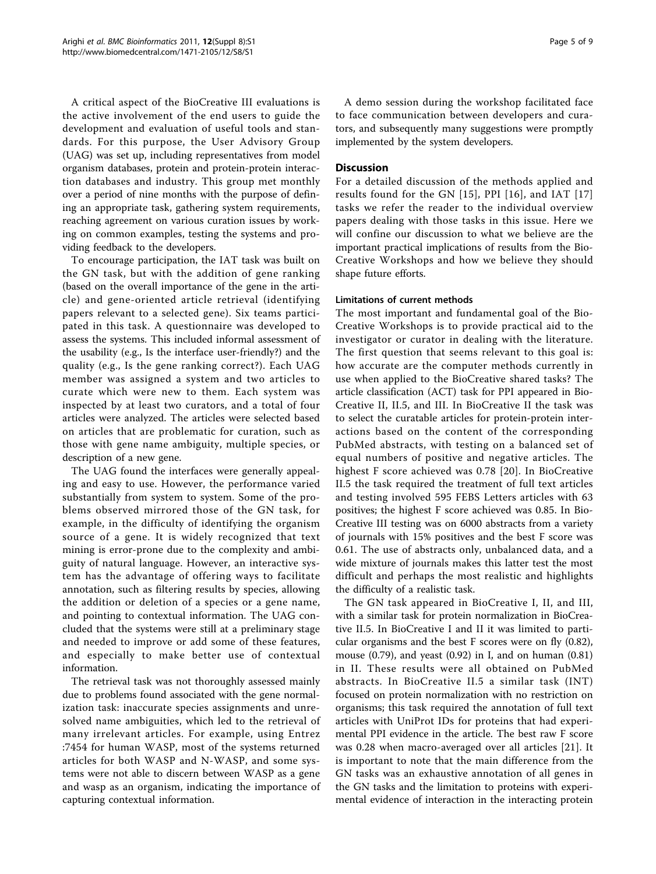A critical aspect of the BioCreative III evaluations is the active involvement of the end users to guide the development and evaluation of useful tools and standards. For this purpose, the User Advisory Group (UAG) was set up, including representatives from model organism databases, protein and protein-protein interaction databases and industry. This group met monthly over a period of nine months with the purpose of defining an appropriate task, gathering system requirements, reaching agreement on various curation issues by working on common examples, testing the systems and providing feedback to the developers.

To encourage participation, the IAT task was built on the GN task, but with the addition of gene ranking (based on the overall importance of the gene in the article) and gene-oriented article retrieval (identifying papers relevant to a selected gene). Six teams participated in this task. A questionnaire was developed to assess the systems. This included informal assessment of the usability (e.g., Is the interface user-friendly?) and the quality (e.g., Is the gene ranking correct?). Each UAG member was assigned a system and two articles to curate which were new to them. Each system was inspected by at least two curators, and a total of four articles were analyzed. The articles were selected based on articles that are problematic for curation, such as those with gene name ambiguity, multiple species, or description of a new gene.

The UAG found the interfaces were generally appealing and easy to use. However, the performance varied substantially from system to system. Some of the problems observed mirrored those of the GN task, for example, in the difficulty of identifying the organism source of a gene. It is widely recognized that text mining is error-prone due to the complexity and ambiguity of natural language. However, an interactive system has the advantage of offering ways to facilitate annotation, such as filtering results by species, allowing the addition or deletion of a species or a gene name, and pointing to contextual information. The UAG concluded that the systems were still at a preliminary stage and needed to improve or add some of these features, and especially to make better use of contextual information.

The retrieval task was not thoroughly assessed mainly due to problems found associated with the gene normalization task: inaccurate species assignments and unresolved name ambiguities, which led to the retrieval of many irrelevant articles. For example, using Entrez :7454 for human WASP, most of the systems returned articles for both WASP and N-WASP, and some systems were not able to discern between WASP as a gene and wasp as an organism, indicating the importance of capturing contextual information.

A demo session during the workshop facilitated face to face communication between developers and curators, and subsequently many suggestions were promptly implemented by the system developers.

#### **Discussion**

For a detailed discussion of the methods applied and results found for the GN [\[15\]](#page-7-0), PPI [[16](#page-7-0)], and IAT [[17](#page-7-0)] tasks we refer the reader to the individual overview papers dealing with those tasks in this issue. Here we will confine our discussion to what we believe are the important practical implications of results from the Bio-Creative Workshops and how we believe they should shape future efforts.

#### Limitations of current methods

The most important and fundamental goal of the Bio-Creative Workshops is to provide practical aid to the investigator or curator in dealing with the literature. The first question that seems relevant to this goal is: how accurate are the computer methods currently in use when applied to the BioCreative shared tasks? The article classification (ACT) task for PPI appeared in Bio-Creative II, II.5, and III. In BioCreative II the task was to select the curatable articles for protein-protein interactions based on the content of the corresponding PubMed abstracts, with testing on a balanced set of equal numbers of positive and negative articles. The highest F score achieved was 0.78 [\[20\]](#page-7-0). In BioCreative II.5 the task required the treatment of full text articles and testing involved 595 FEBS Letters articles with 63 positives; the highest F score achieved was 0.85. In Bio-Creative III testing was on 6000 abstracts from a variety of journals with 15% positives and the best F score was 0.61. The use of abstracts only, unbalanced data, and a wide mixture of journals makes this latter test the most difficult and perhaps the most realistic and highlights the difficulty of a realistic task.

The GN task appeared in BioCreative I, II, and III, with a similar task for protein normalization in BioCreative II.5. In BioCreative I and II it was limited to particular organisms and the best F scores were on fly (0.82), mouse (0.79), and yeast (0.92) in I, and on human (0.81) in II. These results were all obtained on PubMed abstracts. In BioCreative II.5 a similar task (INT) focused on protein normalization with no restriction on organisms; this task required the annotation of full text articles with UniProt IDs for proteins that had experimental PPI evidence in the article. The best raw F score was 0.28 when macro-averaged over all articles [[21\]](#page-7-0). It is important to note that the main difference from the GN tasks was an exhaustive annotation of all genes in the GN tasks and the limitation to proteins with experimental evidence of interaction in the interacting protein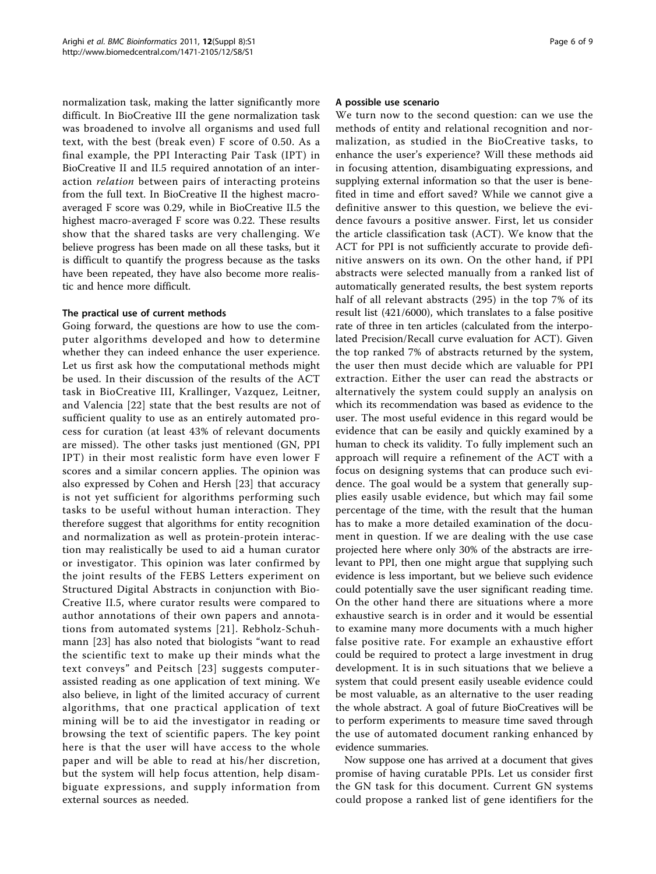normalization task, making the latter significantly more difficult. In BioCreative III the gene normalization task was broadened to involve all organisms and used full text, with the best (break even) F score of 0.50. As a final example, the PPI Interacting Pair Task (IPT) in BioCreative II and II.5 required annotation of an interaction relation between pairs of interacting proteins from the full text. In BioCreative II the highest macroaveraged F score was 0.29, while in BioCreative II.5 the highest macro-averaged F score was 0.22. These results show that the shared tasks are very challenging. We believe progress has been made on all these tasks, but it is difficult to quantify the progress because as the tasks have been repeated, they have also become more realistic and hence more difficult.

# The practical use of current methods

Going forward, the questions are how to use the computer algorithms developed and how to determine whether they can indeed enhance the user experience. Let us first ask how the computational methods might be used. In their discussion of the results of the ACT task in BioCreative III, Krallinger, Vazquez, Leitner, and Valencia [[22\]](#page-7-0) state that the best results are not of sufficient quality to use as an entirely automated process for curation (at least 43% of relevant documents are missed). The other tasks just mentioned (GN, PPI IPT) in their most realistic form have even lower F scores and a similar concern applies. The opinion was also expressed by Cohen and Hersh [[23](#page-7-0)] that accuracy is not yet sufficient for algorithms performing such tasks to be useful without human interaction. They therefore suggest that algorithms for entity recognition and normalization as well as protein-protein interaction may realistically be used to aid a human curator or investigator. This opinion was later confirmed by the joint results of the FEBS Letters experiment on Structured Digital Abstracts in conjunction with Bio-Creative II.5, where curator results were compared to author annotations of their own papers and annotations from automated systems [[21](#page-7-0)]. Rebholz-Schuhmann [\[23\]](#page-7-0) has also noted that biologists "want to read the scientific text to make up their minds what the text conveys" and Peitsch [[23\]](#page-7-0) suggests computerassisted reading as one application of text mining. We also believe, in light of the limited accuracy of current algorithms, that one practical application of text mining will be to aid the investigator in reading or browsing the text of scientific papers. The key point here is that the user will have access to the whole paper and will be able to read at his/her discretion, but the system will help focus attention, help disambiguate expressions, and supply information from external sources as needed.

#### A possible use scenario

We turn now to the second question: can we use the methods of entity and relational recognition and normalization, as studied in the BioCreative tasks, to enhance the user's experience? Will these methods aid in focusing attention, disambiguating expressions, and supplying external information so that the user is benefited in time and effort saved? While we cannot give a definitive answer to this question, we believe the evidence favours a positive answer. First, let us consider the article classification task (ACT). We know that the ACT for PPI is not sufficiently accurate to provide definitive answers on its own. On the other hand, if PPI abstracts were selected manually from a ranked list of automatically generated results, the best system reports half of all relevant abstracts (295) in the top 7% of its result list (421/6000), which translates to a false positive rate of three in ten articles (calculated from the interpolated Precision/Recall curve evaluation for ACT). Given the top ranked 7% of abstracts returned by the system, the user then must decide which are valuable for PPI extraction. Either the user can read the abstracts or alternatively the system could supply an analysis on which its recommendation was based as evidence to the user. The most useful evidence in this regard would be evidence that can be easily and quickly examined by a human to check its validity. To fully implement such an approach will require a refinement of the ACT with a focus on designing systems that can produce such evidence. The goal would be a system that generally supplies easily usable evidence, but which may fail some percentage of the time, with the result that the human has to make a more detailed examination of the document in question. If we are dealing with the use case projected here where only 30% of the abstracts are irrelevant to PPI, then one might argue that supplying such evidence is less important, but we believe such evidence could potentially save the user significant reading time. On the other hand there are situations where a more exhaustive search is in order and it would be essential to examine many more documents with a much higher false positive rate. For example an exhaustive effort could be required to protect a large investment in drug development. It is in such situations that we believe a system that could present easily useable evidence could be most valuable, as an alternative to the user reading the whole abstract. A goal of future BioCreatives will be to perform experiments to measure time saved through the use of automated document ranking enhanced by evidence summaries.

Now suppose one has arrived at a document that gives promise of having curatable PPIs. Let us consider first the GN task for this document. Current GN systems could propose a ranked list of gene identifiers for the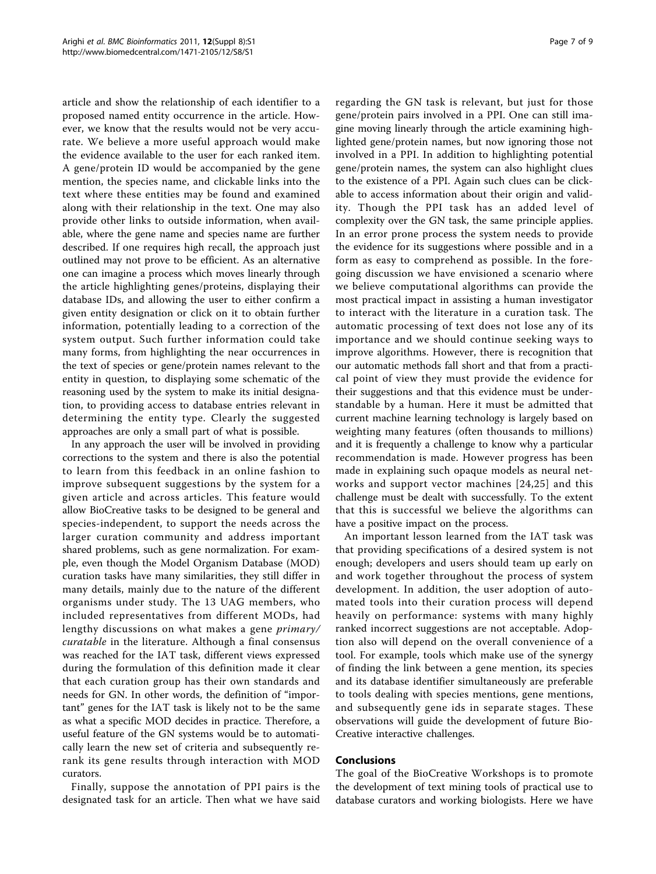article and show the relationship of each identifier to a proposed named entity occurrence in the article. However, we know that the results would not be very accurate. We believe a more useful approach would make the evidence available to the user for each ranked item. A gene/protein ID would be accompanied by the gene mention, the species name, and clickable links into the text where these entities may be found and examined along with their relationship in the text. One may also provide other links to outside information, when available, where the gene name and species name are further described. If one requires high recall, the approach just outlined may not prove to be efficient. As an alternative one can imagine a process which moves linearly through the article highlighting genes/proteins, displaying their database IDs, and allowing the user to either confirm a given entity designation or click on it to obtain further information, potentially leading to a correction of the system output. Such further information could take many forms, from highlighting the near occurrences in the text of species or gene/protein names relevant to the entity in question, to displaying some schematic of the reasoning used by the system to make its initial designation, to providing access to database entries relevant in determining the entity type. Clearly the suggested approaches are only a small part of what is possible.

In any approach the user will be involved in providing corrections to the system and there is also the potential to learn from this feedback in an online fashion to improve subsequent suggestions by the system for a given article and across articles. This feature would allow BioCreative tasks to be designed to be general and species-independent, to support the needs across the larger curation community and address important shared problems, such as gene normalization. For example, even though the Model Organism Database (MOD) curation tasks have many similarities, they still differ in many details, mainly due to the nature of the different organisms under study. The 13 UAG members, who included representatives from different MODs, had lengthy discussions on what makes a gene *primary*/ curatable in the literature. Although a final consensus was reached for the IAT task, different views expressed during the formulation of this definition made it clear that each curation group has their own standards and needs for GN. In other words, the definition of "important" genes for the IAT task is likely not to be the same as what a specific MOD decides in practice. Therefore, a useful feature of the GN systems would be to automatically learn the new set of criteria and subsequently rerank its gene results through interaction with MOD curators.

Finally, suppose the annotation of PPI pairs is the designated task for an article. Then what we have said regarding the GN task is relevant, but just for those gene/protein pairs involved in a PPI. One can still imagine moving linearly through the article examining highlighted gene/protein names, but now ignoring those not involved in a PPI. In addition to highlighting potential gene/protein names, the system can also highlight clues to the existence of a PPI. Again such clues can be clickable to access information about their origin and validity. Though the PPI task has an added level of complexity over the GN task, the same principle applies. In an error prone process the system needs to provide the evidence for its suggestions where possible and in a form as easy to comprehend as possible. In the foregoing discussion we have envisioned a scenario where we believe computational algorithms can provide the most practical impact in assisting a human investigator to interact with the literature in a curation task. The automatic processing of text does not lose any of its importance and we should continue seeking ways to improve algorithms. However, there is recognition that our automatic methods fall short and that from a practical point of view they must provide the evidence for their suggestions and that this evidence must be understandable by a human. Here it must be admitted that current machine learning technology is largely based on weighting many features (often thousands to millions) and it is frequently a challenge to know why a particular recommendation is made. However progress has been made in explaining such opaque models as neural networks and support vector machines [[24,25\]](#page-8-0) and this challenge must be dealt with successfully. To the extent that this is successful we believe the algorithms can have a positive impact on the process.

An important lesson learned from the IAT task was that providing specifications of a desired system is not enough; developers and users should team up early on and work together throughout the process of system development. In addition, the user adoption of automated tools into their curation process will depend heavily on performance: systems with many highly ranked incorrect suggestions are not acceptable. Adoption also will depend on the overall convenience of a tool. For example, tools which make use of the synergy of finding the link between a gene mention, its species and its database identifier simultaneously are preferable to tools dealing with species mentions, gene mentions, and subsequently gene ids in separate stages. These observations will guide the development of future Bio-Creative interactive challenges.

# Conclusions

The goal of the BioCreative Workshops is to promote the development of text mining tools of practical use to database curators and working biologists. Here we have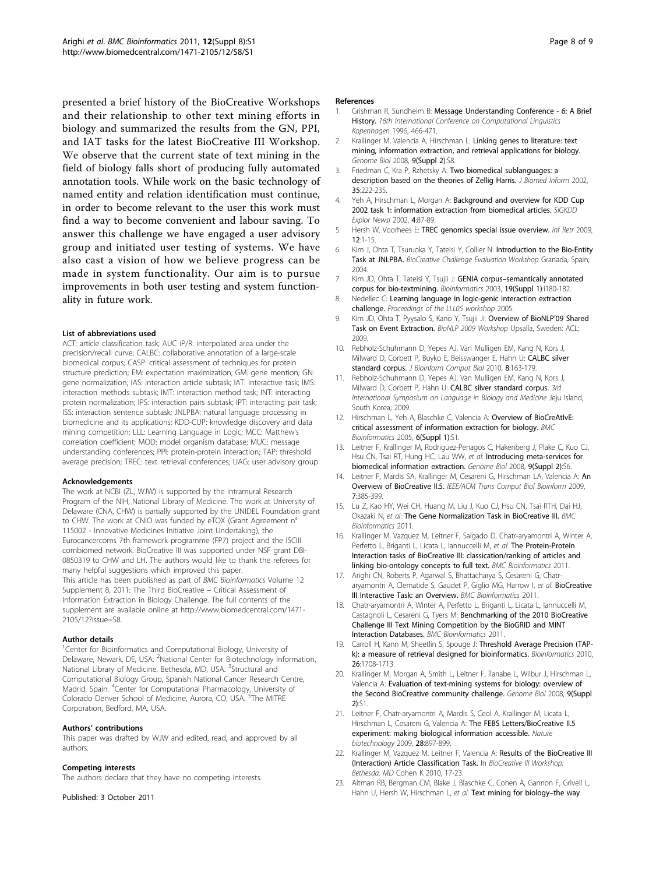<span id="page-7-0"></span>presented a brief history of the BioCreative Workshops and their relationship to other text mining efforts in biology and summarized the results from the GN, PPI, and IAT tasks for the latest BioCreative III Workshop. We observe that the current state of text mining in the field of biology falls short of producing fully automated annotation tools. While work on the basic technology of named entity and relation identification must continue, in order to become relevant to the user this work must find a way to become convenient and labour saving. To answer this challenge we have engaged a user advisory group and initiated user testing of systems. We have also cast a vision of how we believe progress can be made in system functionality. Our aim is to pursue improvements in both user testing and system functionality in future work.

#### List of abbreviations used

ACT: article classification task; AUC iP/R: interpolated area under the precision/recall curve; CALBC: collaborative annotation of a large-scale biomedical corpus; CASP: critical assessment of techniques for protein structure prediction; EM: expectation maximization; GM: gene mention; GN: gene normalization; IAS: interaction article subtask; IAT: interactive task; IMS: interaction methods subtask; IMT: interaction method task; INT: interacting protein normalization; IPS: interaction pairs subtask; IPT: interacting pair task; ISS: interaction sentence subtask; JNLPBA: natural language processing in biomedicine and its applications; KDD-CUP: knowledge discovery and data mining competition; LLL: Learning Language in Logic; MCC: Matthew's correlation coefficient; MOD: model organism database; MUC: message understanding conferences; PPI: protein-protein interaction; TAP: threshold average precision; TREC: text retrieval conferences; UAG: user advisory group

#### Acknowledgements

The work at NCBI (ZL, WJW) is supported by the Intramural Research Program of the NIH, National Library of Medicine. The work at University of Delaware (CNA, CHW) is partially supported by the UNIDEL Foundation grant to CHW. The work at CNIO was funded by eTOX (Grant Agreement n° 115002 - Innovative Medicines Initiative Joint Undertaking), the Eurocancercoms 7th framework programme (FP7) project and the ISCIII combiomed network. BioCreative III was supported under NSF grant DBI-0850319 to CHW and LH. The authors would like to thank the referees for many helpful suggestions which improved this paper. This article has been published as part of BMC Bioinformatics Volume 12 Supplement 8, 2011: The Third BioCreative – Critical Assessment of Information Extraction in Biology Challenge. The full contents of the supplement are available online at [http://www.biomedcentral.com/1471-](http://www.biomedcentral.com/1471-2105/12?issue=S8) [2105/12?issue=S8.](http://www.biomedcentral.com/1471-2105/12?issue=S8)

#### Author details

<sup>1</sup>Center for Bioinformatics and Computational Biology, University of Delaware, Newark, DE, USA. <sup>2</sup>National Center for Biotechnology Information, National Library of Medicine, Bethesda, MD, USA. <sup>3</sup>Structural and Computational Biology Group, Spanish National Cancer Research Centre, Madrid, Spain. <sup>4</sup>Center for Computational Pharmacology, University of Colorado Denver School of Medicine, Aurora, CO, USA. <sup>5</sup>The MITRE Corporation, Bedford, MA, USA.

#### Authors' contributions

This paper was drafted by WJW and edited, read, and approved by all authors.

#### Competing interests

The authors declare that they have no competing interests.

Published: 3 October 2011

#### References

- 1. Grishman R, Sundheim B: Message Understanding Conference 6: A Brief History. 16th International Conference on Computational Linguistics Kopenhagen 1996, 466-471.
- 2. Krallinger M, Valencia A, Hirschman L: [Linking genes to literature: text](http://www.ncbi.nlm.nih.gov/pubmed/18834499?dopt=Abstract) [mining, information extraction, and retrieval applications for biology.](http://www.ncbi.nlm.nih.gov/pubmed/18834499?dopt=Abstract) Genome Biol 2008, 9(Suppl 2):S8.
- 3. Friedman C, Kra P, Rzhetsky A: [Two biomedical sublanguages: a](http://www.ncbi.nlm.nih.gov/pubmed/12755517?dopt=Abstract) [description based on the theories of Zellig Harris.](http://www.ncbi.nlm.nih.gov/pubmed/12755517?dopt=Abstract) J Biomed Inform 2002,  $35:222-235$
- 4. Yeh A, Hirschman L, Morgan A: Background and overview for KDD Cup 2002 task 1: information extraction from biomedical articles. SIGKDD Explor Newsl 2002, 4:87-89.
- Hersh W, Voorhees E: TREC genomics special issue overview. Inf Retr 2009,  $12:1-15$
- 6. Kim J, Ohta T, Tsuruoka Y, Tateisi Y, Collier N: Introduction to the Bio-Entity Task at JNLPBA. BioCreative Challenge Evaluation Workshop Granada, Spain; 2004.
- 7. Kim JD, Ohta T, Tateisi Y, Tsujii J: GENIA corpus-[semantically annotated](http://www.ncbi.nlm.nih.gov/pubmed/12855455?dopt=Abstract) [corpus for bio-textmining.](http://www.ncbi.nlm.nih.gov/pubmed/12855455?dopt=Abstract) Bioinformatics 2003, 19(Suppl 1):i180-182.
- 8. Nedellec C: Learning language in logic-genic interaction extraction challenge. Proceedings of the LLL05 workshop 2005.
- 9. Kim JD, Ohta T, Pyysalo S, Kano Y, Tsujii Ji: Overview of BioNLP'09 Shared Task on Event Extraction. BioNLP 2009 Workshop Upsalla, Sweden: ACL; 2009.
- 10. Rebholz-Schuhmann D, Yepes AJ, Van Mulligen EM, Kang N, Kors J, Milward D, Corbett P, Buyko E, Beisswanger E, Hahn U: [CALBC silver](http://www.ncbi.nlm.nih.gov/pubmed/20183881?dopt=Abstract) [standard corpus.](http://www.ncbi.nlm.nih.gov/pubmed/20183881?dopt=Abstract) *J Bioinform Comput Biol* 2010, 8:163-179.
- 11. Rebholz-Schuhmann D, Yepes AJ, Van Mulligen EM, Kang N, Kors J, Milward D, Corbett P, Hahn U: CALBC silver standard corpus. 3rd International Symposium on Language in Biology and Medicine Jeju Island, South Korea; 2009.
- 12. Hirschman L, Yeh A, Blaschke C, Valencia A: Overview of BioCreAtlvE: [critical assessment of information extraction for biology.](http://www.ncbi.nlm.nih.gov/pubmed/16468169?dopt=Abstract) BMC Bioinformatics 2005, 6(Suppl 1):S1.
- 13. Leitner F, Krallinger M, Rodriguez-Penagos C, Hakenberg J, Plake C, Kuo CJ, Hsu CN, Tsai RT, Hung HC, Lau WW, et al: [Introducing meta-services for](http://www.ncbi.nlm.nih.gov/pubmed/18834497?dopt=Abstract) [biomedical information extraction.](http://www.ncbi.nlm.nih.gov/pubmed/18834497?dopt=Abstract) Genome Biol 2008, 9(Suppl 2):S6.
- 14. Leitner F, Mardis SA, Krallinger M, Cesareni G, Hirschman LA, Valencia A: An Overview of BioCreative II.5. IEEE/ACM Trans Comput Biol Bioinform 2009, 7:385-399.
- 15. Lu Z, Kao HY, Wei CH, Huang M, Liu J, Kuo CJ, Hsu CN, Tsai RTH, Dai HJ, Okazaki N, et al: The Gene Normalization Task in BioCreative III. BMC Bioinformatics 2011.
- 16. Krallinger M, Vazquez M, Leitner F, Salgado D, Chatr-aryamontri A, Winter A, Perfetto L, Briganti L, Licata L, Iannuccelli M, et al: The Protein-Protein Interaction tasks of BioCreative III: classication/ranking of articles and linking bio-ontology concepts to full text. BMC Bioinformatics 2011.
- 17. Arighi CN, Roberts P, Agarwal S, Bhattacharya S, Cesareni G, Chatraryamontri A, Clematide S, Gaudet P, Giglio MG, Harrow I, et al: BioCreative III Interactive Task: an Overview. BMC Bioinformatics 2011.
- 18. Chatr-aryamontri A, Winter A, Perfetto L, Briganti L, Licata L, Iannuccelli M, Castagnoli L, Cesareni G, Tyers M: Benchmarking of the 2010 BioCreative Challenge III Text Mining Competition by the BioGRID and MINT Interaction Databases. BMC Bioinformatics 2011.
- 19. Carroll H, Kann M, Sheetlin S, Spouge J: [Threshold Average Precision \(TAP](http://www.ncbi.nlm.nih.gov/pubmed/20505002?dopt=Abstract)[k\): a measure of retrieval designed for bioinformatics.](http://www.ncbi.nlm.nih.gov/pubmed/20505002?dopt=Abstract) Bioinformatics 2010, 26:1708-1713.
- 20. Krallinger M, Morgan A, Smith L, Leitner F, Tanabe L, Wilbur J, Hirschman L, Valencia A: [Evaluation of text-mining systems for biology: overview of](http://www.ncbi.nlm.nih.gov/pubmed/18834487?dopt=Abstract) [the Second BioCreative community challenge.](http://www.ncbi.nlm.nih.gov/pubmed/18834487?dopt=Abstract) Genome Biol 2008, 9(Suppl 2):S1.
- 21. Leitner F, Chatr-aryamontri A, Mardis S, Ceol A, Krallinger M, Licata L, Hirschman L, Cesareni G, Valencia A: The FEBS Letters/BioCreative II.5 experiment: making biological information accessible. Nature biotechnology 2009, 28:897-899.
- 22. Krallinger M, Vazquez M, Leitner F, Valencia A: Results of the BioCreative III (Interaction) Article Classification Task. In BioCreative III Workshop; Bethesda, MD Cohen K 2010, 17-23.
- 23. Altman RB, Bergman CM, Blake J, Blaschke C, Cohen A, Gannon F, Grivell L, Hahn U, Hersh W, Hirschman L, et al: [Text mining for biology](http://www.ncbi.nlm.nih.gov/pubmed/18834498?dopt=Abstract)-the way